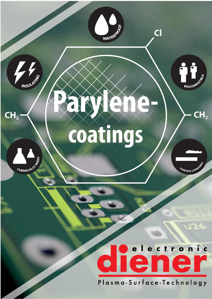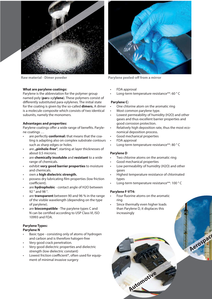

#### **What are parylene coatings:**

Parylene is the abbreviation for the polymer group named poly (**par**a-xyl**ylene**). These polymers consist of differently substituted para-xylylenes. The initial state for the coating is given by the so-called **dimers.** A dimer is a molecule composite which consists of two identical subunits, namely the monomers.

# **Advantages and properties:**

Parylene coatings offer a wide range of benefits. Parylene coatings …

- are perfectly **conformal:** that means that the coating is adapting also on complex substrate contours such as sharp edges or holes.
- are **"pinhole-free"**, starting at layer thicknesses of about 0.5 microns.
- are **chemically insoluble** and **resistant** to a wide range of chemicals.
- exhibit **very good barrier properties** to moisture and chemicals.
- own a **high dielectric strength.**
- possess dry lubricating film properties (low friction coefficient).
- are **hydrophobic** contact angle of H2O between 92 ° and 98 °.
- are **transparent** between 90 and 96 % in the range of the visible wavelength (depending on the type of parylene).
- are **biocompatible** The parylene types C and N can be certified according to USP Class VI, ISO 10993 and FDA.

# **Parylene Types:**

- **Parylene N**
- Basic type consisting only of atoms of hydrogen and carbon and is therefore halogen-free
- Very good crack penetration.
- Very good dielectric properties and dielectric strength (low dielectric constant)
- Lowest friction coefficient\*, often used for equipment of minimal invasive surgery



**Raw material - Dimer powder Parylene peeled-off from a mirror**

- FDA approval
- Long-term temperature resistance\*\*: 60 ° C

# **Parylene C:**

- One chlorine atom on the aromatic ring
- Most common parylene type.
- Lowest permeability of humidity (H2O) and other gases and thus excellent barrier properties and good corrosion protection.
- Relatively high deposition rate, thus the most economical deposition process.
- Good mechanical properties
- FDA approval
- Long-term temperature resistance\*\*: 80 ° C

# **Parylene D**

- Two chlorine atoms on the aromatic ring
- Good mechanical properties
- Low permeability of humidity (H2O) and other gases
- Highest temperature resistance of chlorinated types
- Long-term temperature resistance\*\*: 100 ° C

# **Parylene F-VT4:**

- Four fluorine atoms on the aromatic ring
- Since thermally even higher loads than Parylene D, it displaces this increasingly

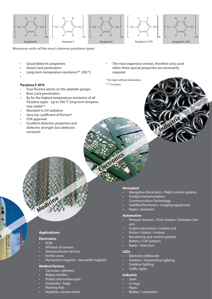

**Monomer units of the most common parylene types**

- Good dielectric properties
- Good crack penetration
- Long-term temperature resistance\*\*: 200 °C
- •

# **Parylene F-AF4:**

- Four fluorine atoms on the aliphatic groups
- Best crack penetration.
- By far the highest temperature resistance of all Parylene types - up to 350 °C long-term temperature stable\*\*.
- Resistant to UV radiation
- Very low coefficient of friction\*
- FDA approval
- Excellent dielectric properties and dielectric strength (low dielectric constant)
- The most expensive version, therefore only used when these special properties are necessarily required.
- \* On steel without lubrication \*\* 11,4 years



#### **Aerospace**

**Electronics**

- Navigation Electronics / flight control systems
- Cockpit instrumentation
- Communication Technology
- Satellite Electronics / imaging equipment
- Radar / detectors

#### **Automotive**

- Pressure Sensors / Flow Sensors / Emission Sensors
- Engine electronics / control unit
- Rotors / stators / motors
- Monitoring and control systems
- Battery / Cell Systems
- Radar / detectors

# **LEDs**

- Electronic billboards
- Aviation / Automotive Lighting
- Outdoor lighting
- Traffic lights

## **Industrie**

- Seals O-rings
- 
- **Pipes**
- Bottles / containers

# **Applications:**

**Medicine**

# **Electronics**

**Aerospace**

- PCBs
- All kinds of sensors
- Semiconductor devices
- Ferrite cores
- Permanent magnets rare earth magnets

## **Medical Devices**

- Cannulas, catheters
- **Biopsy needles**
- Probes and endoscopes
- Ampoules / bags
- Hearing Aids
- Implants, corona stents